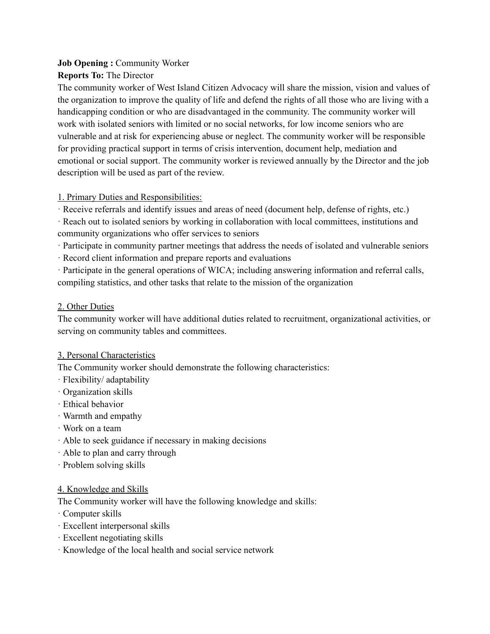### **Job Opening :** Community Worker

## **Reports To:** The Director

The community worker of West Island Citizen Advocacy will share the mission, vision and values of the organization to improve the quality of life and defend the rights of all those who are living with a handicapping condition or who are disadvantaged in the community. The community worker will work with isolated seniors with limited or no social networks, for low income seniors who are vulnerable and at risk for experiencing abuse or neglect. The community worker will be responsible for providing practical support in terms of crisis intervention, document help, mediation and emotional or social support. The community worker is reviewed annually by the Director and the job description will be used as part of the review.

## 1. Primary Duties and Responsibilities:

· Receive referrals and identify issues and areas of need (document help, defense of rights, etc.)

· Reach out to isolated seniors by working in collaboration with local committees, institutions and community organizations who offer services to seniors

· Participate in community partner meetings that address the needs of isolated and vulnerable seniors

· Record client information and prepare reports and evaluations

· Participate in the general operations of WICA; including answering information and referral calls, compiling statistics, and other tasks that relate to the mission of the organization

## 2. Other Duties

The community worker will have additional duties related to recruitment, organizational activities, or serving on community tables and committees.

# 3, Personal Characteristics

The Community worker should demonstrate the following characteristics:

- · Flexibility/ adaptability
- · Organization skills
- · Ethical behavior
- · Warmth and empathy
- · Work on a team
- · Able to seek guidance if necessary in making decisions
- · Able to plan and carry through
- · Problem solving skills

### 4. Knowledge and Skills

The Community worker will have the following knowledge and skills:

- · Computer skills
- · Excellent interpersonal skills
- · Excellent negotiating skills
- · Knowledge of the local health and social service network